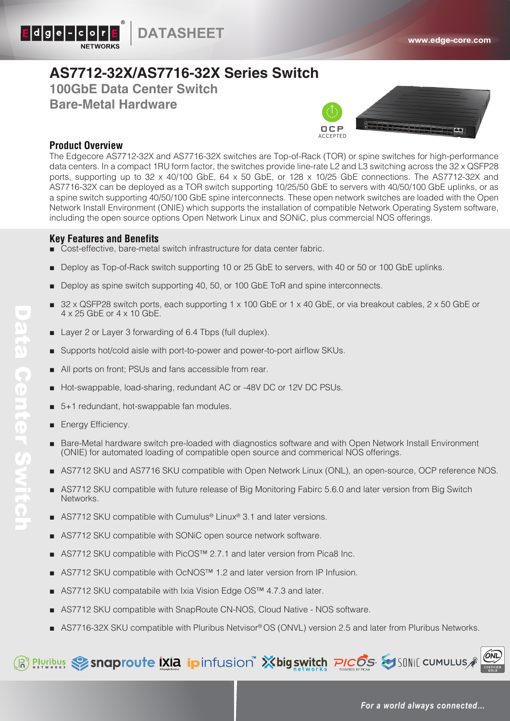

## **AS7712-32X/AS7716-32X Series Switch**

**100GbE Data Center Switch** 

**Bare-Metal Hardware**



## **Product Overview**

The Edgecore AS7712-32X and AS7716-32X switches are Top-of-Rack (TOR) or spine switches for high-performance data centers. In a compact 1RU form factor, the switches provide line-rate L2 and L3 switching across the 32 x QSFP28 ports, supporting up to  $32 \times 40/100$  GbE,  $64 \times 50$  GbE, or  $128 \times 10/25$  GbE connections. The AS7712-32X and AS7716-32X can be deployed as a TOR switch supporting 10/25/50 GbE to servers with 40/50/100 GbE uplinks, or as a spine switch supporting 40/50/100 GbE spine interconnects. These open network switches are loaded with the Open Network Install Environment (ONIE) which supports the installation of compatible Network Operating System software, including the open source options Open Network Linux and SONiC, plus commercial NOS offerings.

## **Key Features and Benefits**

- Cost-effective, bare-metal switch infrastructure for data center fabric.
- Deploy as Top-of-Rack switch supporting 10 or 25 GbE to servers, with 40 or 50 or 100 GbE uplinks.
- Deploy as spine switch supporting 40, 50, or 100 GbE ToR and spine interconnects.
- $32 \times$  QSFP28 switch ports, each supporting 1 x 100 GbE or 1 x 40 GbE, or via breakout cables, 2 x 50 GbE or 4 x 25 GbE or 4 x 10 GbE.
- Layer 2 or Layer 3 forwarding of 6.4 Tbps (full duplex).
- Supports hot/cold aisle with port-to-power and power-to-port airflow SKUs.
- All ports on front; PSUs and fans accessible from rear.
- Hot-swappable, load-sharing, redundant AC or -48V DC or 12V DC PSUs.
- 5+1 redundant, hot-swappable fan modules.
- **Energy Efficiency.**
- Bare-Metal hardware switch pre-loaded with diagnostics software and with Open Network Install Environment (ONIE) for automated loading of compatible open source and commerical NOS offerings.
- AS7712 SKU and AS7716 SKU compatible with Open Network Linux (ONL), an open-source, OCP reference NOS.
- AS7712 SKU compatible with future release of Big Monitoring Fabirc 5.6.0 and later version from Big Switch Networks.
- AS7712 SKU compatible with Cumulus<sup>®</sup> Linux<sup>®</sup> 3.1 and later versions.
- AS7712 SKU compatible with SONiC open source network software.
- AS7712 SKU compatible with PicOS™ 2.7.1 and later version from Pica8 Inc.
- AS7712 SKU compatible with OcNOS<sup>™</sup> 1.2 and later version from IP Infusion.
- AS7712 SKU compatabile with Ixia Vision Edge OS<sup>™</sup> 4.7.3 and later.
- AS7712 SKU compatible with SnapRoute CN-NOS, Cloud Native NOS software.
- AS7716-32X SKU compatible with Pluribus Netvisor® OS (ONVL) version 2.5 and later from Pluribus Networks.

## R Plyribus Sandproute [XIa ipinfusion" Xbigswitch PICOS SISUNIC CUMULUS

**Data Center Switch** Data Center Switch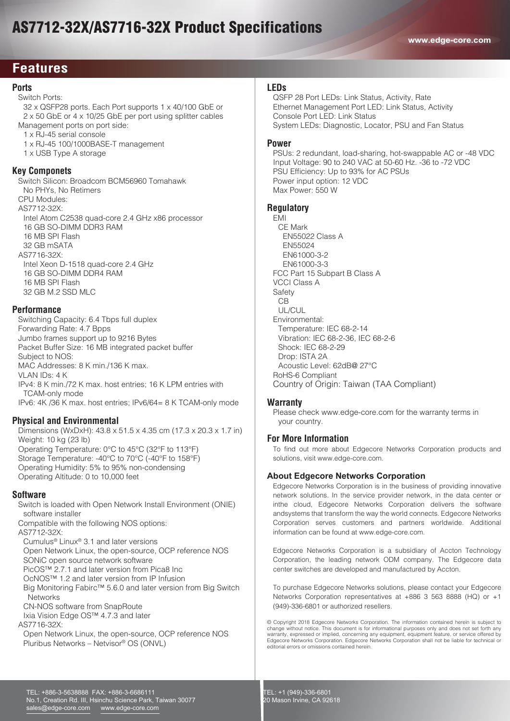# AS7712-32X/AS7716-32X Product Specifications

## **Features**

## **Ports**

Switch Ports:

- 32 x QSFP28 ports. Each Port supports 1 x 40/100 GbE or 2 x 50 GbE or 4 x 10/25 GbE per port using splitter cables Management ports on port side:
	- 1 x RJ-45 serial console
	- 1 x RJ-45 100/1000BASE-T management
	- 1 x USB Type A storage

#### **Key Componets**

 Switch Silicon: Broadcom BCM56960 Tomahawk No PHYs, No Retimers CPU Modules: AS7712-32X: Intel Atom C2538 quad-core 2.4 GHz x86 processor 16 GB SO-DIMM DDR3 RAM 16 MB SPI Flash 32 GB mSATA AS7716-32X: Intel Xeon D-1518 quad-core 2.4 GHz 16 GB SO-DIMM DDR4 RAM 16 MB SPI Flash 32 GB M.2 SSD MLC

#### **Performance**

 Switching Capacity: 6.4 Tbps full duplex Forwarding Rate: 4.7 Bpps Jumbo frames support up to 9216 Bytes Packet Buffer Size: 16 MB integrated packet buffer Subject to NOS: MAC Addresses: 8 K min./136 K max. VLAN IDs: 4 K IPv4: 8 K min./72 K max. host entries; 16 K LPM entries with TCAM-only mode IPv6: 4K /36 K max. host entries; IPv6/64= 8 K TCAM-only mode

## **Physical and Environmental**

 Dimensions (WxDxH): 43.8 x 51.5 x 4.35 cm (17.3 x 20.3 x 1.7 in) Weight: 10 kg (23 lb) Operating Temperature: 0°C to 45°C (32°F to 113°F) Storage Temperature: -40°C to 70°C (-40°F to 158°F) Operating Humidity: 5% to 95% non-condensing Operating Altitude: 0 to 10,000 feet

#### **Software**

 Switch is loaded with Open Network Install Environment (ONIE) software installer Compatible with the following NOS options: AS7712-32X: Cumulus® Linux® 3.1 and later versions Open Network Linux, the open-source, OCP reference NOS SONiC open source network software PicOS™ 2.7.1 and later version from Pica8 Inc

OcNOS™ 1.2 and later version from IP Infusion

 Big Monitoring Fabirc™ 5.6.0 and later version from Big Switch **Networks** 

CN-NOS software from SnapRoute

Ixia Vision Edge OS™ 4.7.3 and later

AS7716-32X:

 Open Network Linux, the open-source, OCP reference NOS Pluribus Networks – Netvisor® OS (ONVL)

#### **LEDs**

 QSFP 28 Port LEDs: Link Status, Activity, Rate Ethernet Management Port LED: Link Status, Activity Console Port LED: Link Status System LEDs: Diagnostic, Locator, PSU and Fan Status

#### **Power**

 PSUs: 2 redundant, load-sharing, hot-swappable AC or -48 VDC Input Voltage: 90 to 240 VAC at 50-60 Hz. -36 to -72 VDC PSU Efficiency: Up to 93% for AC PSUs Power input option: 12 VDC Max Power: 550 W

#### **Regulatory**

 EMI CE Mark EN55022 Class A EN55024 EN61000-3-2 EN61000-3-3 FCC Part 15 Subpart B Class A VCCI Class A Safety CB UL/CUL Environmental: Temperature: IEC 68-2-14 Vibration: IEC 68-2-36, IEC 68-2-6 Shock: IEC 68-2-29 Drop: ISTA 2A Acoustic Level: 62dB@ 27°C RoHS-6 Compliant Country of Origin: Taiwan (TAA Compliant)

#### **Warranty**

 Please check www.edge-core.com for the warranty terms in your country.

## **For More Information**

To find out more about Edgecore Networks Corporation products and solutions, visit www.edge-core.com.

## **About Edgecore Networks Corporation**

Edgecore Networks Corporation is in the business of providing innovative network solutions. In the service provider network, in the data center or inthe cloud, Edgecore Networks Corporation delivers the software andsystems that transform the way the world connects. Edgecore Networks Corporation serves customers and partners worldwide. Additional information can be found at www.edge-core.com.

Edgecore Networks Corporation is a subsidiary of Accton Technology Corporation, the leading network ODM company. The Edgecore data center switches are developed and manufactured by Accton.

To purchase Edgecore Networks solutions, please contact your Edgecore Networks Corporation representatives at +886 3 563 8888 (HQ) or +1 (949)-336-6801 or authorized resellers.

© Copyright 2018 Edgecore Networks Corporation. The information contained herein is subject to change without notice. This document is for informational purposes only and does not set forth any warranty, expressed or implied, concerning any equipment, equipment feature, or service offered by Edgecore Networks Corporation. Edgecore Networks Corporation shall not be liable for technical or editorial errors or omissions contained herein.